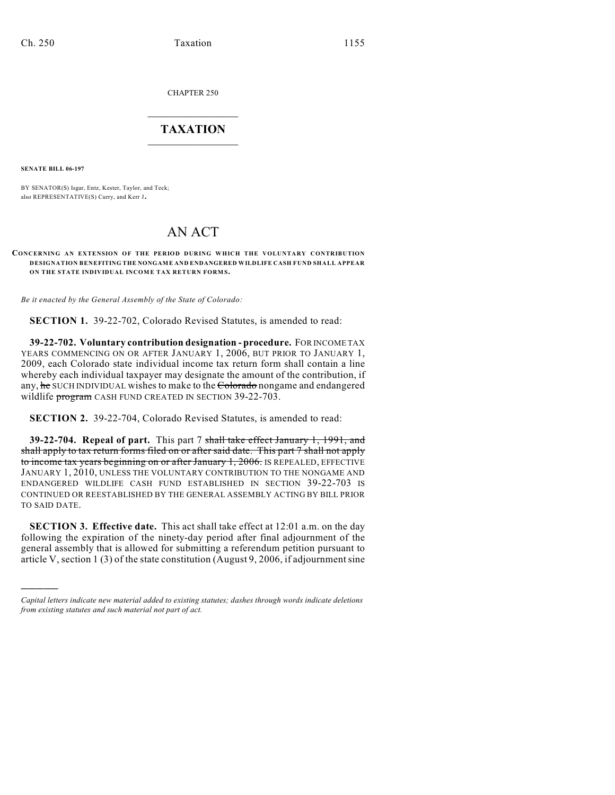CHAPTER 250

## $\overline{\phantom{a}}$  . The set of the set of the set of the set of the set of the set of the set of the set of the set of the set of the set of the set of the set of the set of the set of the set of the set of the set of the set o **TAXATION**  $\_$

**SENATE BILL 06-197**

)))))

BY SENATOR(S) Isgar, Entz, Kester, Taylor, and Teck; also REPRESENTATIVE(S) Curry, and Kerr J.

## AN ACT

## **CONCERNING AN EXTENSION OF THE PERIOD DURING WHICH THE VOLUNTARY CONTRIBUTION DESIGNATION BENEFITING THE NONGAME AND ENDANGERED WILDLIFE CASH FUND SHALL APPEAR ON THE STATE INDIVIDUAL INCOME TAX RETURN FORMS.**

*Be it enacted by the General Assembly of the State of Colorado:*

**SECTION 1.** 39-22-702, Colorado Revised Statutes, is amended to read:

**39-22-702. Voluntary contribution designation - procedure.** FOR INCOME TAX YEARS COMMENCING ON OR AFTER JANUARY 1, 2006, BUT PRIOR TO JANUARY 1, 2009, each Colorado state individual income tax return form shall contain a line whereby each individual taxpayer may designate the amount of the contribution, if any, he SUCH INDIVIDUAL wishes to make to the Colorado nongame and endangered wildlife program CASH FUND CREATED IN SECTION 39-22-703.

**SECTION 2.** 39-22-704, Colorado Revised Statutes, is amended to read:

**39-22-704. Repeal of part.** This part 7 shall take effect January 1, 1991, and shall apply to tax return forms filed on or after said date. This part 7 shall not apply to income tax years beginning on or after January 1, 2006. IS REPEALED, EFFECTIVE JANUARY 1, 2010, UNLESS THE VOLUNTARY CONTRIBUTION TO THE NONGAME AND ENDANGERED WILDLIFE CASH FUND ESTABLISHED IN SECTION 39-22-703 IS CONTINUED OR REESTABLISHED BY THE GENERAL ASSEMBLY ACTING BY BILL PRIOR TO SAID DATE.

**SECTION 3. Effective date.** This act shall take effect at 12:01 a.m. on the day following the expiration of the ninety-day period after final adjournment of the general assembly that is allowed for submitting a referendum petition pursuant to article V, section 1 (3) of the state constitution (August 9, 2006, if adjournment sine

*Capital letters indicate new material added to existing statutes; dashes through words indicate deletions from existing statutes and such material not part of act.*